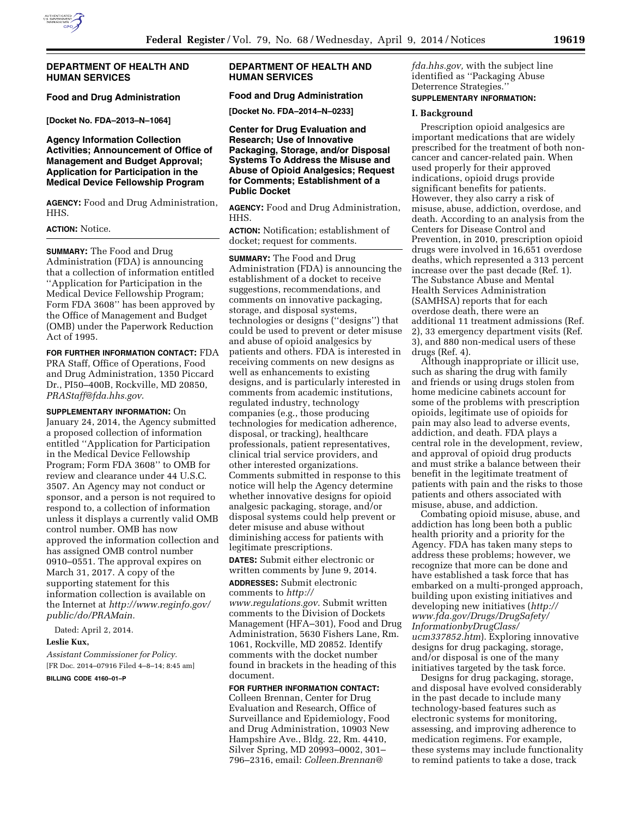

## **DEPARTMENT OF HEALTH AND HUMAN SERVICES**

# **Food and Drug Administration**

**[Docket No. FDA–2013–N–1064]** 

# **Agency Information Collection Activities; Announcement of Office of Management and Budget Approval; Application for Participation in the Medical Device Fellowship Program**

**AGENCY:** Food and Drug Administration, HHS.

### **ACTION:** Notice.

**SUMMARY:** The Food and Drug Administration (FDA) is announcing that a collection of information entitled ''Application for Participation in the Medical Device Fellowship Program; Form FDA 3608'' has been approved by the Office of Management and Budget (OMB) under the Paperwork Reduction Act of 1995.

**FOR FURTHER INFORMATION CONTACT:** FDA PRA Staff, Office of Operations, Food and Drug Administration, 1350 Piccard Dr., PI50–400B, Rockville, MD 20850, *[PRAStaff@fda.hhs.gov](mailto:PRAStaff@fda.hhs.gov)*.

**SUPPLEMENTARY INFORMATION:** On January 24, 2014, the Agency submitted a proposed collection of information entitled ''Application for Participation in the Medical Device Fellowship Program; Form FDA 3608'' to OMB for review and clearance under 44 U.S.C. 3507. An Agency may not conduct or sponsor, and a person is not required to respond to, a collection of information unless it displays a currently valid OMB control number. OMB has now approved the information collection and has assigned OMB control number 0910–0551. The approval expires on March 31, 2017. A copy of the supporting statement for this information collection is available on the Internet at *[http://www.reginfo.gov/](http://www.reginfo.gov/public/do/PRAMain) [public/do/PRAMain.](http://www.reginfo.gov/public/do/PRAMain)* 

Dated: April 2, 2014.

#### **Leslie Kux,**

*Assistant Commissioner for Policy.*  [FR Doc. 2014–07916 Filed 4–8–14; 8:45 am]

**BILLING CODE 4160–01–P** 

# **DEPARTMENT OF HEALTH AND HUMAN SERVICES**

# **Food and Drug Administration**

**[Docket No. FDA–2014–N–0233]** 

## **Center for Drug Evaluation and Research; Use of Innovative Packaging, Storage, and/or Disposal Systems To Address the Misuse and Abuse of Opioid Analgesics; Request for Comments; Establishment of a Public Docket**

**AGENCY:** Food and Drug Administration, HHS.

**ACTION:** Notification; establishment of docket; request for comments.

**SUMMARY:** The Food and Drug Administration (FDA) is announcing the establishment of a docket to receive suggestions, recommendations, and comments on innovative packaging, storage, and disposal systems, technologies or designs (''designs'') that could be used to prevent or deter misuse and abuse of opioid analgesics by patients and others. FDA is interested in receiving comments on new designs as well as enhancements to existing designs, and is particularly interested in comments from academic institutions, regulated industry, technology companies (e.g., those producing technologies for medication adherence, disposal, or tracking), healthcare professionals, patient representatives, clinical trial service providers, and other interested organizations. Comments submitted in response to this notice will help the Agency determine whether innovative designs for opioid analgesic packaging, storage, and/or disposal systems could help prevent or deter misuse and abuse without diminishing access for patients with legitimate prescriptions.

**DATES:** Submit either electronic or written comments by June 9, 2014.

**ADDRESSES:** Submit electronic comments to *[http://](http://www.regulations.gov)*

*[www.regulations.gov](http://www.regulations.gov)*. Submit written comments to the Division of Dockets Management (HFA–301), Food and Drug Administration, 5630 Fishers Lane, Rm. 1061, Rockville, MD 20852. Identify comments with the docket number found in brackets in the heading of this document.

## **FOR FURTHER INFORMATION CONTACT:**

Colleen Brennan, Center for Drug Evaluation and Research, Office of Surveillance and Epidemiology, Food and Drug Administration, 10903 New Hampshire Ave., Bldg. 22, Rm. 4410, Silver Spring, MD 20993–0002, 301– 796–2316, email: *[Colleen.Brennan@](mailto:Colleen.Brennan@fda.hhs.gov)*

*[fda.hhs.gov,](mailto:Colleen.Brennan@fda.hhs.gov)* with the subject line identified as ''Packaging Abuse Deterrence Strategies.''

## **SUPPLEMENTARY INFORMATION:**

#### **I. Background**

Prescription opioid analgesics are important medications that are widely prescribed for the treatment of both noncancer and cancer-related pain. When used properly for their approved indications, opioid drugs provide significant benefits for patients. However, they also carry a risk of misuse, abuse, addiction, overdose, and death. According to an analysis from the Centers for Disease Control and Prevention, in 2010, prescription opioid drugs were involved in 16,651 overdose deaths, which represented a 313 percent increase over the past decade (Ref. 1). The Substance Abuse and Mental Health Services Administration (SAMHSA) reports that for each overdose death, there were an additional 11 treatment admissions (Ref. 2), 33 emergency department visits (Ref. 3), and 880 non-medical users of these drugs (Ref. 4).

Although inappropriate or illicit use, such as sharing the drug with family and friends or using drugs stolen from home medicine cabinets account for some of the problems with prescription opioids, legitimate use of opioids for pain may also lead to adverse events, addiction, and death. FDA plays a central role in the development, review, and approval of opioid drug products and must strike a balance between their benefit in the legitimate treatment of patients with pain and the risks to those patients and others associated with misuse, abuse, and addiction.

Combating opioid misuse, abuse, and addiction has long been both a public health priority and a priority for the Agency. FDA has taken many steps to address these problems; however, we recognize that more can be done and have established a task force that has embarked on a multi-pronged approach, building upon existing initiatives and developing new initiatives (*[http://](http://www.fda.gov/Drugs/DrugSafety/InformationbyDrugClass/ucm337852.htm) [www.fda.gov/Drugs/DrugSafety/](http://www.fda.gov/Drugs/DrugSafety/InformationbyDrugClass/ucm337852.htm) [InformationbyDrugClass/](http://www.fda.gov/Drugs/DrugSafety/InformationbyDrugClass/ucm337852.htm) [ucm337852.htm](http://www.fda.gov/Drugs/DrugSafety/InformationbyDrugClass/ucm337852.htm)*). Exploring innovative designs for drug packaging, storage, and/or disposal is one of the many initiatives targeted by the task force.

Designs for drug packaging, storage, and disposal have evolved considerably in the past decade to include many technology-based features such as electronic systems for monitoring, assessing, and improving adherence to medication regimens. For example, these systems may include functionality to remind patients to take a dose, track